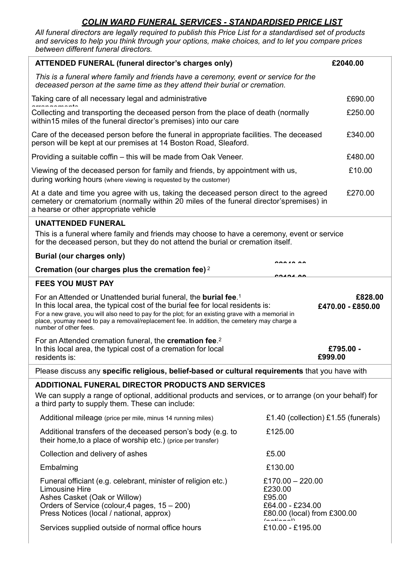## *COLIN WARD FUNERAL SERVICES - STANDARDISED PRICE LIST*

*All funeral directors are legally required to publish this Price List for a standardised set of products and services to help you think through your options, make choices, and to let you compare prices between different funeral directors.*

| ATTENDED FUNERAL (funeral director's charges only)                                                                                                                                                                                                                      |                                                                                                                                                                                                                                                                                                                                                                                                                                   | £2040.00             |  |
|-------------------------------------------------------------------------------------------------------------------------------------------------------------------------------------------------------------------------------------------------------------------------|-----------------------------------------------------------------------------------------------------------------------------------------------------------------------------------------------------------------------------------------------------------------------------------------------------------------------------------------------------------------------------------------------------------------------------------|----------------------|--|
| This is a funeral where family and friends have a ceremony, event or service for the<br>deceased person at the same time as they attend their burial or cremation.                                                                                                      |                                                                                                                                                                                                                                                                                                                                                                                                                                   |                      |  |
| Taking care of all necessary legal and administrative                                                                                                                                                                                                                   |                                                                                                                                                                                                                                                                                                                                                                                                                                   | £690.00              |  |
| Collecting and transporting the deceased person from the place of death (normally<br>within 15 miles of the funeral director's premises) into our care                                                                                                                  |                                                                                                                                                                                                                                                                                                                                                                                                                                   | £250.00              |  |
| Care of the deceased person before the funeral in appropriate facilities. The deceased<br>person will be kept at our premises at 14 Boston Road, Sleaford.                                                                                                              |                                                                                                                                                                                                                                                                                                                                                                                                                                   | £340.00              |  |
| Providing a suitable coffin - this will be made from Oak Veneer.                                                                                                                                                                                                        |                                                                                                                                                                                                                                                                                                                                                                                                                                   | £480.00              |  |
| Viewing of the deceased person for family and friends, by appointment with us,<br>during working hours (where viewing is requested by the customer)                                                                                                                     |                                                                                                                                                                                                                                                                                                                                                                                                                                   | £10.00               |  |
| At a date and time you agree with us, taking the deceased person direct to the agreed<br>cemetery or crematorium (normally within 20 miles of the funeral director'spremises) in<br>a hearse or other appropriate vehicle                                               |                                                                                                                                                                                                                                                                                                                                                                                                                                   | £270.00              |  |
| <b>UNATTENDED FUNERAL</b>                                                                                                                                                                                                                                               |                                                                                                                                                                                                                                                                                                                                                                                                                                   |                      |  |
| This is a funeral where family and friends may choose to have a ceremony, event or service<br>for the deceased person, but they do not attend the burial or cremation itself.                                                                                           |                                                                                                                                                                                                                                                                                                                                                                                                                                   |                      |  |
| <b>Burial (our charges only)</b>                                                                                                                                                                                                                                        | 000 10.00                                                                                                                                                                                                                                                                                                                                                                                                                         |                      |  |
| Cremation (our charges plus the cremation fee) <sup>2</sup>                                                                                                                                                                                                             |                                                                                                                                                                                                                                                                                                                                                                                                                                   |                      |  |
| <b>FEES YOU MUST PAY</b>                                                                                                                                                                                                                                                |                                                                                                                                                                                                                                                                                                                                                                                                                                   |                      |  |
|                                                                                                                                                                                                                                                                         | For an Attended or Unattended burial funeral, the <b>burial fee</b> . <sup>1</sup><br>£828.00<br>In this local area, the typical cost of the burial fee for local residents is:<br>£470.00 - £850.00<br>For a new grave, you will also need to pay for the plot; for an existing grave with a memorial in<br>place, youmay need to pay a removal/replacement fee. In addition, the cemetery may charge a<br>number of other fees. |                      |  |
|                                                                                                                                                                                                                                                                         |                                                                                                                                                                                                                                                                                                                                                                                                                                   |                      |  |
| For an Attended cremation funeral, the <b>cremation fee.</b> <sup>2</sup><br>In this local area, the typical cost of a cremation for local<br>residents is:                                                                                                             |                                                                                                                                                                                                                                                                                                                                                                                                                                   | £795.00 -<br>£999.00 |  |
| Please discuss any specific religious, belief-based or cultural requirements that you have with                                                                                                                                                                         |                                                                                                                                                                                                                                                                                                                                                                                                                                   |                      |  |
| <b>ADDITIONAL FUNERAL DIRECTOR PRODUCTS AND SERVICES</b>                                                                                                                                                                                                                |                                                                                                                                                                                                                                                                                                                                                                                                                                   |                      |  |
| We can supply a range of optional, additional products and services, or to arrange (on your behalf) for<br>a third party to supply them. These can include:                                                                                                             |                                                                                                                                                                                                                                                                                                                                                                                                                                   |                      |  |
| Additional mileage (price per mile, minus 14 running miles)                                                                                                                                                                                                             | £1.40 (collection) £1.55 (funerals)                                                                                                                                                                                                                                                                                                                                                                                               |                      |  |
| Additional transfers of the deceased person's body (e.g. to<br>their home, to a place of worship etc.) (price per transfer)                                                                                                                                             | £125.00                                                                                                                                                                                                                                                                                                                                                                                                                           |                      |  |
| Collection and delivery of ashes                                                                                                                                                                                                                                        | £5.00                                                                                                                                                                                                                                                                                                                                                                                                                             |                      |  |
| Embalming                                                                                                                                                                                                                                                               | £130.00                                                                                                                                                                                                                                                                                                                                                                                                                           |                      |  |
| Funeral officiant (e.g. celebrant, minister of religion etc.)<br><b>Limousine Hire</b><br>Ashes Casket (Oak or Willow)<br>Orders of Service (colour, 4 pages, 15 – 200)<br>Press Notices (local / national, approx)<br>Services supplied outside of normal office hours | £170.00 $-$ 220.00<br>£230.00<br>£95.00<br>£64.00 - £234.00<br>£80.00 (local) from £300.00<br>£10.00 - £195.00                                                                                                                                                                                                                                                                                                                    |                      |  |